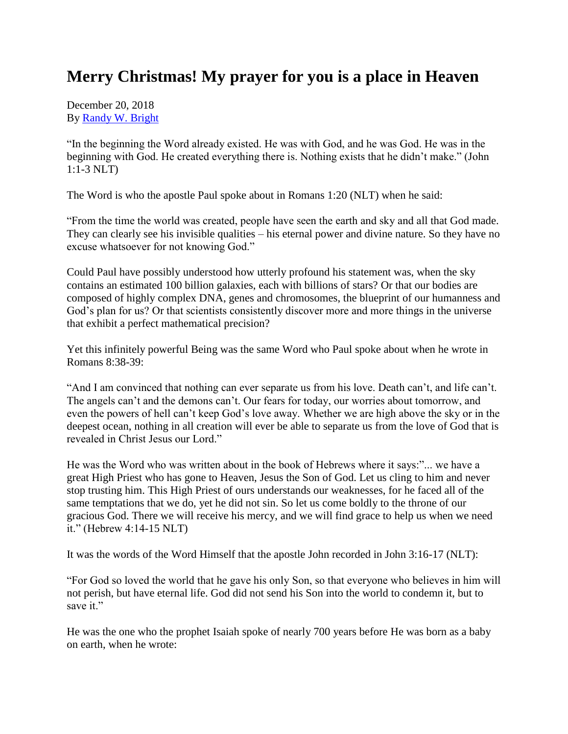## **Merry Christmas! My prayer for you is a place in Heaven**

December 20, 2018 By [Randy W. Bright](http://www.tulsabeacon.com/author/slug-o6yd1v)

"In the beginning the Word already existed. He was with God, and he was God. He was in the beginning with God. He created everything there is. Nothing exists that he didn't make." (John 1:1-3 NLT)

The Word is who the apostle Paul spoke about in Romans 1:20 (NLT) when he said:

"From the time the world was created, people have seen the earth and sky and all that God made. They can clearly see his invisible qualities – his eternal power and divine nature. So they have no excuse whatsoever for not knowing God."

Could Paul have possibly understood how utterly profound his statement was, when the sky contains an estimated 100 billion galaxies, each with billions of stars? Or that our bodies are composed of highly complex DNA, genes and chromosomes, the blueprint of our humanness and God's plan for us? Or that scientists consistently discover more and more things in the universe that exhibit a perfect mathematical precision?

Yet this infinitely powerful Being was the same Word who Paul spoke about when he wrote in Romans 8:38-39:

"And I am convinced that nothing can ever separate us from his love. Death can't, and life can't. The angels can't and the demons can't. Our fears for today, our worries about tomorrow, and even the powers of hell can't keep God's love away. Whether we are high above the sky or in the deepest ocean, nothing in all creation will ever be able to separate us from the love of God that is revealed in Christ Jesus our Lord."

He was the Word who was written about in the book of Hebrews where it says:"... we have a great High Priest who has gone to Heaven, Jesus the Son of God. Let us cling to him and never stop trusting him. This High Priest of ours understands our weaknesses, for he faced all of the same temptations that we do, yet he did not sin. So let us come boldly to the throne of our gracious God. There we will receive his mercy, and we will find grace to help us when we need it." (Hebrew 4:14-15 NLT)

It was the words of the Word Himself that the apostle John recorded in John 3:16-17 (NLT):

"For God so loved the world that he gave his only Son, so that everyone who believes in him will not perish, but have eternal life. God did not send his Son into the world to condemn it, but to save it."

He was the one who the prophet Isaiah spoke of nearly 700 years before He was born as a baby on earth, when he wrote: